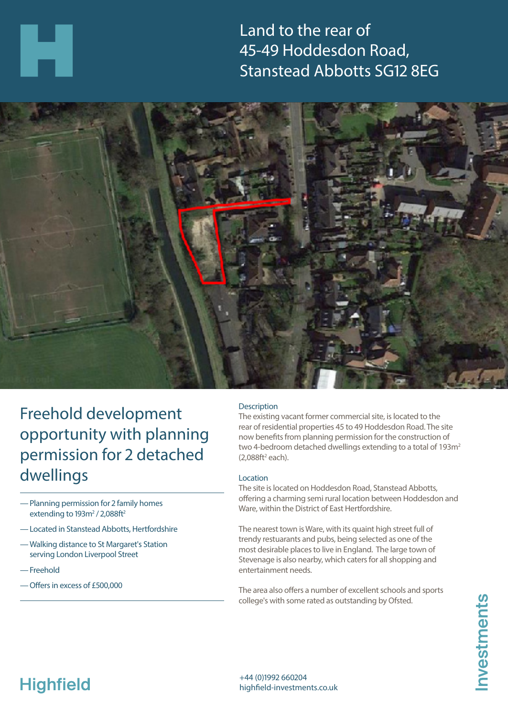Land to the rear of 45-49 Hoddesdon Road, Stanstead Abbotts SG12 8EG



## Freehold development opportunity with planning permission for 2 detached dwellings

- —Planning permission for 2 family homes extending to  $193m^2/2,088ft^2$
- —Located in Stanstead Abbotts, Hertfordshire
- —Walking distance to St Margaret's Station serving London Liverpool Street
- —Freehold
- —Offers in excess of £500,000

### **Description**

The existing vacant former commercial site, is located to the rear of residential properties 45 to 49 Hoddesdon Road. The site now benefits from planning permission for the construction of two 4-bedroom detached dwellings extending to a total of 193m<sup>2</sup>  $(2,088ft^2$  each).

#### Location

The site is located on Hoddesdon Road, Stanstead Abbotts, offering a charming semi rural location between Hoddesdon and Ware, within the District of East Hertfordshire.

The nearest town is Ware, with its quaint high street full of trendy restuarants and pubs, being selected as one of the most desirable places to live in England. The large town of Stevenage is also nearby, which caters for all shopping and entertainment needs.

The area also offers a number of excellent schools and sports college's with some rated as outstanding by Ofsted.

# **Highfield**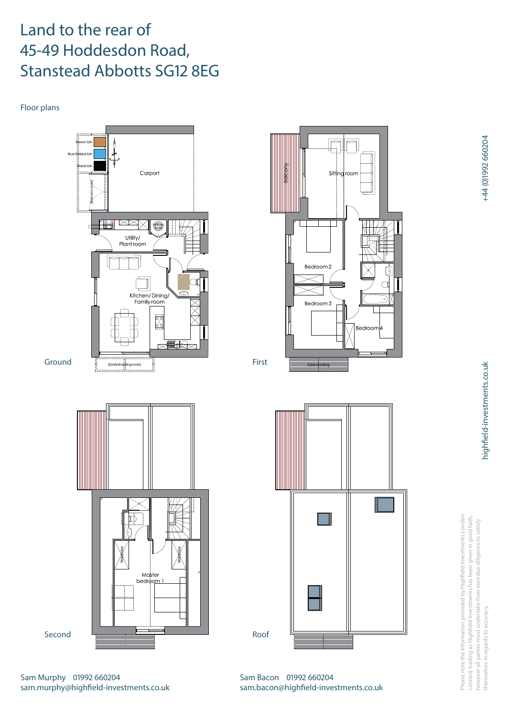## Land to the rear of 45-49 Hoddesdon Road, Stanstead Abbotts SG12 8EG

Floor plans







Please note the information provided by Highfield Investments London Please note the information provided by Highfield Investments London Limited, trading as Highfield Investments has been given in good faith, Limited, trading as Highfield Investments has been given in good faith, however all parties must undertake their own due diligence to satisfy however all parties must undertake their own due diligence to satisfy in regards to accuracy themselves in regards to accuracy. themselves

Sam Bacon 01992 660204 sam.bacon@highfield-investments.co.uk